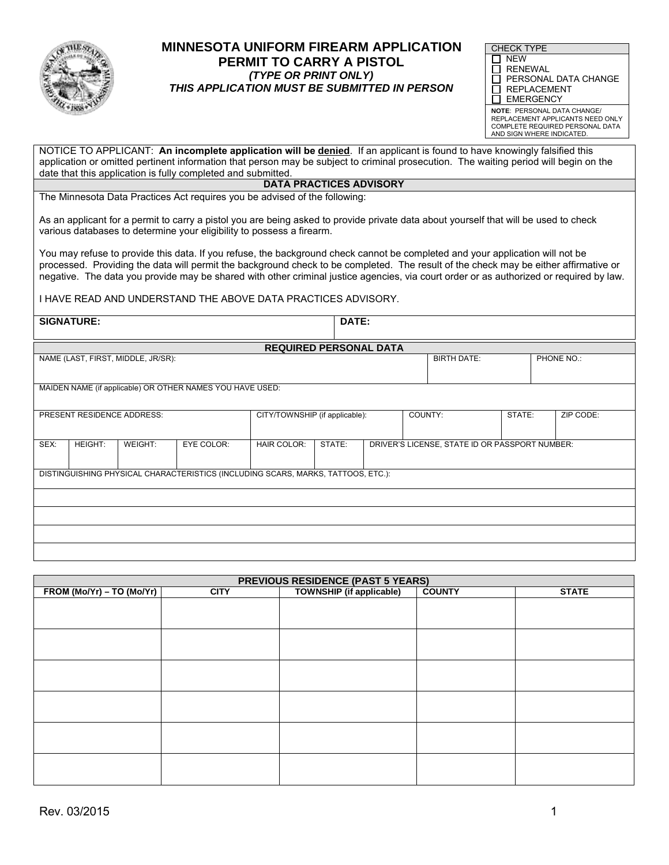

### **PERMIT TO CARRY A PISTOL**(TYPE OR PRINT ONLY) **IINNESOTA UNIFURM FIREARM APPLICATION FORECK TYPE OR PRINT ONLY**<br>FERMIT TO CARRY A PISTOL THIS APPLICATION MUST BE SUBMITTED IN PERSON **MINNESOTA UNIFORM FIREARM APPLICATION**

| <b>CHECK TYPE</b>                    |  |  |  |  |  |  |
|--------------------------------------|--|--|--|--|--|--|
| <b>NFW</b>                           |  |  |  |  |  |  |
| I RENEWAL                            |  |  |  |  |  |  |
| PERSONAL DATA CHANGE<br>$\mathsf{L}$ |  |  |  |  |  |  |
| <b>REPLACEMENT</b><br>$\mathsf{L}$   |  |  |  |  |  |  |
| <b>EMERGENCY</b>                     |  |  |  |  |  |  |
| <b>NOTE: PERSONAL DATA CHANGE/</b>   |  |  |  |  |  |  |
| REPLACEMENT APPLICANTS NEED ONLY     |  |  |  |  |  |  |

REPLACEMENT APPLICANTS NEED ONLY COMPLETE REQUIRED PERSONAL DATA **AND SIGN WHERE INDICATED.** 

 NOTICE TO APPLICANT: **An incomplete application will be denied**. If an applicant is found to have knowingly falsified this application or omitted pertinent information that person may be subject to criminal prosecution. The waiting period will begin on the date that this application is fully completed and submitted.

#### **DATA PRACTICES ADVISORY**

The Minnesota Data Practices Act requires you be advised of the following:

As an applicant for a permit to carry a pistol you are being asked to provide private data about yourself that will be used to check various databases to determine your eligibility to possess a firearm.

 You may refuse to provide this data. If you refuse, the background check cannot be completed and your application will not be processed. Providing the data will permit the background check to be completed. The result of the check may be either affirmative or negative. The data you provide may be shared with other criminal justice agencies, via court order or as authorized or required by law.

I HAVE READ AND UNDERSTAND THE ABOVE DATA PRACTICES ADVISORY.

| <b>SIGNATURE:</b>                                                                |         |         |                                                           |                                |        | DATE:                                          |  |        |  |            |  |
|----------------------------------------------------------------------------------|---------|---------|-----------------------------------------------------------|--------------------------------|--------|------------------------------------------------|--|--------|--|------------|--|
|                                                                                  |         |         |                                                           |                                |        |                                                |  |        |  |            |  |
|                                                                                  |         |         |                                                           | <b>REQUIRED PERSONAL DATA</b>  |        |                                                |  |        |  |            |  |
| NAME (LAST, FIRST, MIDDLE, JR/SR):                                               |         |         |                                                           |                                |        | <b>BIRTH DATE:</b>                             |  |        |  | PHONE NO.: |  |
|                                                                                  |         |         |                                                           |                                |        |                                                |  |        |  |            |  |
|                                                                                  |         |         |                                                           |                                |        |                                                |  |        |  |            |  |
|                                                                                  |         |         | MAIDEN NAME (if applicable) OR OTHER NAMES YOU HAVE USED: |                                |        |                                                |  |        |  |            |  |
|                                                                                  |         |         |                                                           |                                |        |                                                |  |        |  |            |  |
| PRESENT RESIDENCE ADDRESS:                                                       |         |         |                                                           | CITY/TOWNSHIP (if applicable): |        | COUNTY:                                        |  | STATE: |  | ZIP CODE:  |  |
|                                                                                  |         |         |                                                           |                                |        |                                                |  |        |  |            |  |
| SEX:                                                                             | HEIGHT: | WEIGHT: | EYE COLOR:                                                | HAIR COLOR:                    | STATE: | DRIVER'S LICENSE, STATE ID OR PASSPORT NUMBER: |  |        |  |            |  |
|                                                                                  |         |         |                                                           |                                |        |                                                |  |        |  |            |  |
|                                                                                  |         |         |                                                           |                                |        |                                                |  |        |  |            |  |
| DISTINGUISHING PHYSICAL CHARACTERISTICS (INCLUDING SCARS, MARKS, TATTOOS, ETC.): |         |         |                                                           |                                |        |                                                |  |        |  |            |  |
|                                                                                  |         |         |                                                           |                                |        |                                                |  |        |  |            |  |
|                                                                                  |         |         |                                                           |                                |        |                                                |  |        |  |            |  |
|                                                                                  |         |         |                                                           |                                |        |                                                |  |        |  |            |  |
|                                                                                  |         |         |                                                           |                                |        |                                                |  |        |  |            |  |
|                                                                                  |         |         |                                                           |                                |        |                                                |  |        |  |            |  |
|                                                                                  |         |         |                                                           |                                |        |                                                |  |        |  |            |  |
|                                                                                  |         |         |                                                           |                                |        |                                                |  |        |  |            |  |

| <b>PREVIOUS RESIDENCE (PAST 5 YEARS)</b> |             |                                 |               |              |  |  |
|------------------------------------------|-------------|---------------------------------|---------------|--------------|--|--|
| FROM (Mo/Yr) - TO (Mo/Yr)                | <b>CITY</b> | <b>TOWNSHIP (if applicable)</b> | <b>COUNTY</b> | <b>STATE</b> |  |  |
|                                          |             |                                 |               |              |  |  |
|                                          |             |                                 |               |              |  |  |
|                                          |             |                                 |               |              |  |  |
|                                          |             |                                 |               |              |  |  |
|                                          |             |                                 |               |              |  |  |
|                                          |             |                                 |               |              |  |  |
|                                          |             |                                 |               |              |  |  |
|                                          |             |                                 |               |              |  |  |
|                                          |             |                                 |               |              |  |  |
|                                          |             |                                 |               |              |  |  |
|                                          |             |                                 |               |              |  |  |
|                                          |             |                                 |               |              |  |  |
|                                          |             |                                 |               |              |  |  |
|                                          |             |                                 |               |              |  |  |
|                                          |             |                                 |               |              |  |  |
|                                          |             |                                 |               |              |  |  |
|                                          |             |                                 |               |              |  |  |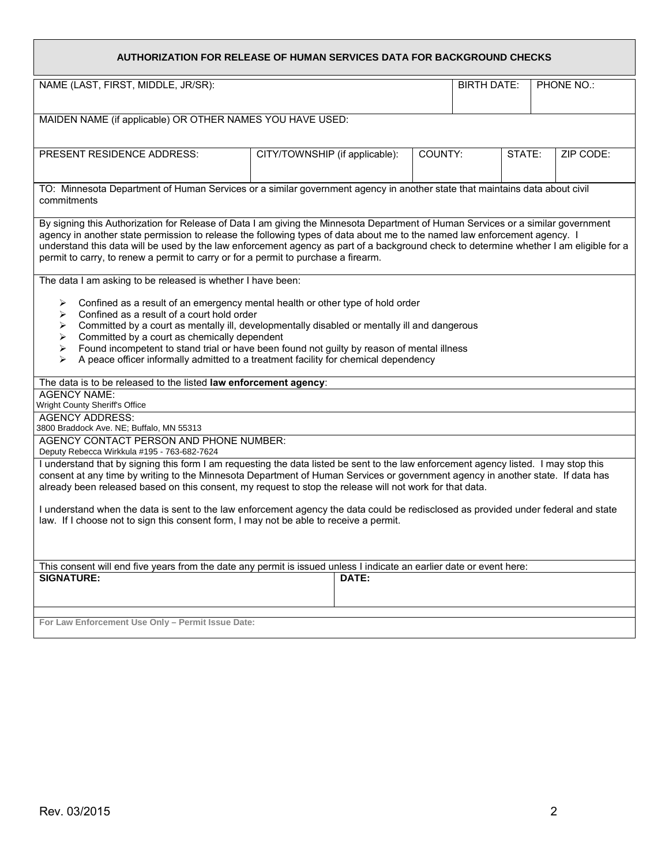| AUTHORIZATION FOR RELEASE OF HUMAN SERVICES DATA FOR BACKGROUND CHECKS                                                                                                                                                                                                                                                                                                                                                                                                                          |                                |  |            |  |        |           |  |
|-------------------------------------------------------------------------------------------------------------------------------------------------------------------------------------------------------------------------------------------------------------------------------------------------------------------------------------------------------------------------------------------------------------------------------------------------------------------------------------------------|--------------------------------|--|------------|--|--------|-----------|--|
| NAME (LAST, FIRST, MIDDLE, JR/SR):                                                                                                                                                                                                                                                                                                                                                                                                                                                              | <b>BIRTH DATE:</b>             |  | PHONE NO.: |  |        |           |  |
| MAIDEN NAME (if applicable) OR OTHER NAMES YOU HAVE USED:                                                                                                                                                                                                                                                                                                                                                                                                                                       |                                |  |            |  |        |           |  |
|                                                                                                                                                                                                                                                                                                                                                                                                                                                                                                 |                                |  |            |  |        |           |  |
| PRESENT RESIDENCE ADDRESS:                                                                                                                                                                                                                                                                                                                                                                                                                                                                      | CITY/TOWNSHIP (if applicable): |  | COUNTY:    |  | STATE: | ZIP CODE: |  |
| TO: Minnesota Department of Human Services or a similar government agency in another state that maintains data about civil<br>commitments                                                                                                                                                                                                                                                                                                                                                       |                                |  |            |  |        |           |  |
| By signing this Authorization for Release of Data I am giving the Minnesota Department of Human Services or a similar government<br>agency in another state permission to release the following types of data about me to the named law enforcement agency. I<br>understand this data will be used by the law enforcement agency as part of a background check to determine whether I am eligible for a<br>permit to carry, to renew a permit to carry or for a permit to purchase a firearm.   |                                |  |            |  |        |           |  |
| The data I am asking to be released is whether I have been:                                                                                                                                                                                                                                                                                                                                                                                                                                     |                                |  |            |  |        |           |  |
| Confined as a result of an emergency mental health or other type of hold order<br>➤<br>Confined as a result of a court hold order<br>➤<br>Committed by a court as mentally ill, developmentally disabled or mentally ill and dangerous<br>➤<br>Committed by a court as chemically dependent<br>➤<br>Found incompetent to stand trial or have been found not guilty by reason of mental illness<br>➤<br>A peace officer informally admitted to a treatment facility for chemical dependency<br>⋗ |                                |  |            |  |        |           |  |
| The data is to be released to the listed law enforcement agency:                                                                                                                                                                                                                                                                                                                                                                                                                                |                                |  |            |  |        |           |  |
| <b>AGENCY NAME:</b><br>Wright County Sheriff's Office                                                                                                                                                                                                                                                                                                                                                                                                                                           |                                |  |            |  |        |           |  |
| <b>AGENCY ADDRESS:</b><br>3800 Braddock Ave. NE; Buffalo, MN 55313                                                                                                                                                                                                                                                                                                                                                                                                                              |                                |  |            |  |        |           |  |
| AGENCY CONTACT PERSON AND PHONE NUMBER:<br>Deputy Rebecca Wirkkula #195 - 763-682-7624                                                                                                                                                                                                                                                                                                                                                                                                          |                                |  |            |  |        |           |  |
| I understand that by signing this form I am requesting the data listed be sent to the law enforcement agency listed. I may stop this<br>consent at any time by writing to the Minnesota Department of Human Services or government agency in another state. If data has<br>already been released based on this consent, my request to stop the release will not work for that data.                                                                                                             |                                |  |            |  |        |           |  |
| I understand when the data is sent to the law enforcement agency the data could be redisclosed as provided under federal and state<br>law. If I choose not to sign this consent form, I may not be able to receive a permit.                                                                                                                                                                                                                                                                    |                                |  |            |  |        |           |  |
|                                                                                                                                                                                                                                                                                                                                                                                                                                                                                                 |                                |  |            |  |        |           |  |
| This consent will end five years from the date any permit is issued unless I indicate an earlier date or event here:<br><b>SIGNATURE:</b><br>DATE:                                                                                                                                                                                                                                                                                                                                              |                                |  |            |  |        |           |  |
|                                                                                                                                                                                                                                                                                                                                                                                                                                                                                                 |                                |  |            |  |        |           |  |
| For Law Enforcement Use Only - Permit Issue Date:                                                                                                                                                                                                                                                                                                                                                                                                                                               |                                |  |            |  |        |           |  |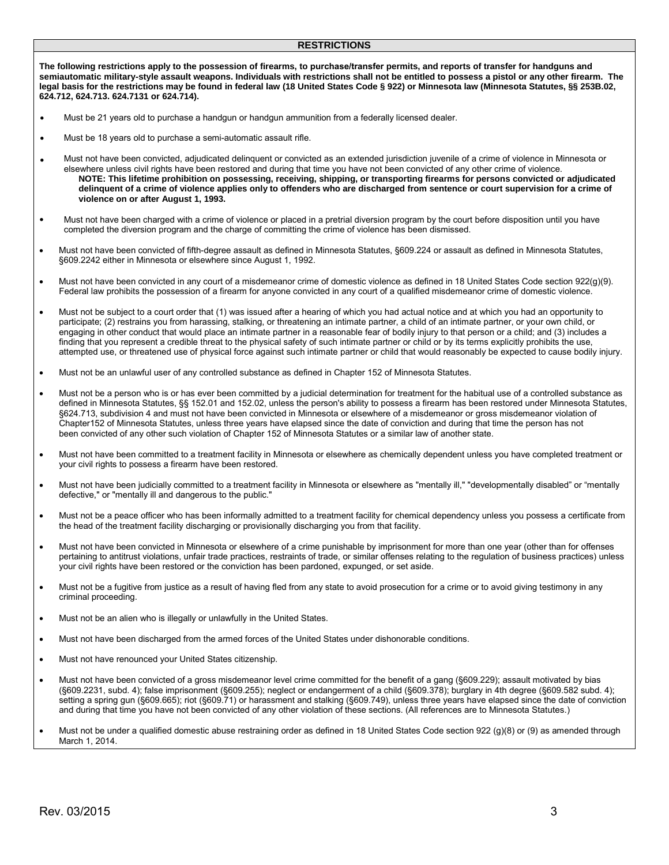#### **RESTRICTIONS**

 **semiautomatic military-style assault weapons. Individuals with restrictions shall not be entitled to possess a pistol or any other firearm. The legal basis for the restrictions may be found in federal law (18 United States Code § 922) or Minnesota law (Minnesota Statutes, §§ 253B.02, The following restrictions apply to the possession of firearms, to purchase/transfer permits, and reports of transfer for handguns and 624.712, 624.713. 624.7131 or 624.714).**

- Must be 21 years old to purchase a handgun or handgun ammunition from a federally licensed dealer.
- Must be 18 years old to purchase a semi-automatic assault rifle.
- **delinquent of a crime of violence applies only to offenders who are discharged from sentence or court supervision for a crime of violence on or after August 1, 1993.**  • Must not have been convicted, adjudicated delinquent or convicted as an extended jurisdiction juvenile of a crime of violence in Minnesota or elsewhere unless civil rights have been restored and during that time you have not been convicted of any other crime of violence. **NOTE: This lifetime prohibition on possessing, receiving, shipping, or transporting firearms for persons convicted or adjudicated**
- Must not have been charged with a crime of violence or placed in a pretrial diversion program by the court before disposition until you have completed the diversion program and the charge of committing the crime of violence has been dismissed.
- Must not have been convicted of fifth-degree assault as defined in Minnesota Statutes, §609.224 or assault as defined in Minnesota Statutes, §609.2242 either in Minnesota or elsewhere since August 1, 1992.
- • Must not have been convicted in any court of a misdemeanor crime of domestic violence as defined in 18 United States Code section 922(g)(9). Federal law prohibits the possession of a firearm for anyone convicted in any court of a qualified misdemeanor crime of domestic violence.
- • Must not be subject to a court order that (1) was issued after a hearing of which you had actual notice and at which you had an opportunity to participate; (2) restrains you from harassing, stalking, or threatening an intimate partner, a child of an intimate partner, or your own child, or engaging in other conduct that would place an intimate partner in a reasonable fear of bodily injury to that person or a child; and (3) includes a finding that you represent a credible threat to the physical safety of such intimate partner or child or by its terms explicitly prohibits the use, attempted use, or threatened use of physical force against such intimate partner or child that would reasonably be expected to cause bodily injury.
- Must not be an unlawful user of any controlled substance as defined in Chapter 152 of Minnesota Statutes.
- • Must not be a person who is or has ever been committed by a judicial determination for treatment for the habitual use of a controlled substance as defined in Minnesota Statutes, §§ 152.01 and 152.02, unless the person's ability to possess a firearm has been restored under Minnesota Statutes, §624.713, subdivision 4 and must not have been convicted in Minnesota or elsewhere of a misdemeanor or gross misdemeanor violation of Chapter152 of Minnesota Statutes, unless three years have elapsed since the date of conviction and during that time the person has not been convicted of any other such violation of Chapter 152 of Minnesota Statutes or a similar law of another state.
- • Must not have been committed to a treatment facility in Minnesota or elsewhere as chemically dependent unless you have completed treatment or your civil rights to possess a firearm have been restored.
- Must not have been judicially committed to a treatment facility in Minnesota or elsewhere as "mentally ill," "developmentally disabled" or "mentally defective," or "mentally ill and dangerous to the public."
- • Must not be a peace officer who has been informally admitted to a treatment facility for chemical dependency unless you possess a certificate from the head of the treatment facility discharging or provisionally discharging you from that facility.
- Must not have been convicted in Minnesota or elsewhere of a crime punishable by imprisonment for more than one year (other than for offenses pertaining to antitrust violations, unfair trade practices, restraints of trade, or similar offenses relating to the regulation of business practices) unless your civil rights have been restored or the conviction has been pardoned, expunged, or set aside.
- • Must not be a fugitive from justice as a result of having fled from any state to avoid prosecution for a crime or to avoid giving testimony in any criminal proceeding.
- Must not be an alien who is illegally or unlawfully in the United States.
- Must not have been discharged from the armed forces of the United States under dishonorable conditions.
- Must not have renounced your United States citizenship.
- • Must not have been convicted of a gross misdemeanor level crime committed for the benefit of a gang (§609.229); assault motivated by bias setting a spring gun (§609.665); riot (§609.71) or harassment and stalking (§609.749), unless three years have elapsed since the date of conviction and during that time you have not been convicted of any other violation of these sections. (All references are to Minnesota Statutes.) (§609.2231, subd. 4); false imprisonment (§609.255); neglect or endangerment of a child (§609.378); burglary in 4th degree (§609.582 subd. 4);
- Must not be under a qualified domestic abuse restraining order as defined in 18 United States Code section 922 (g)(8) or (9) as amended through March 1, 2014.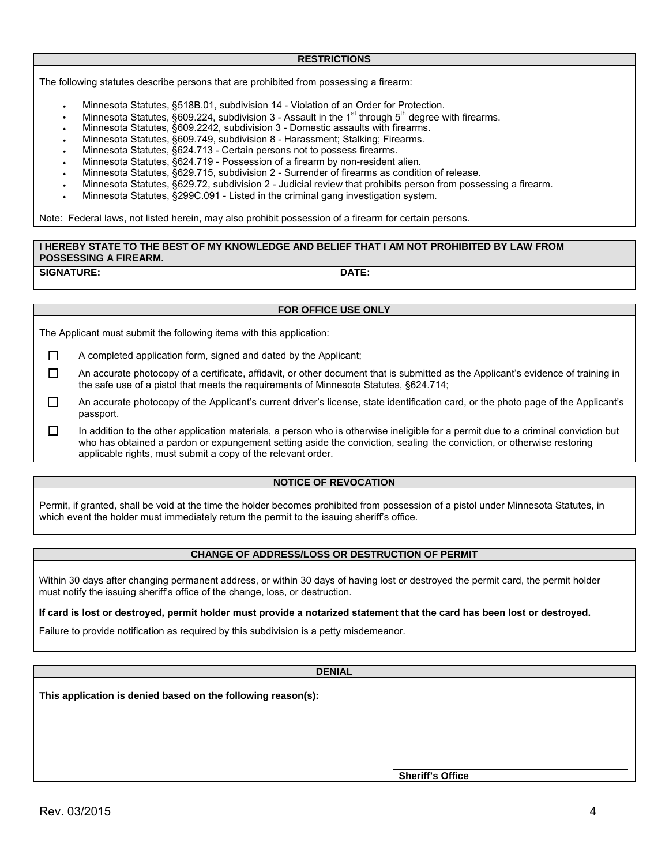#### **RESTRICTIONS**

The following statutes describe persons that are prohibited from possessing a firearm:

- Minnesota Statutes, §518B.01, subdivision 14 Violation of an Order for Protection.
- Minnesota Statutes, §609.224, subdivision 3 Assault in the  $1<sup>st</sup>$  through  $5<sup>th</sup>$  degree with firearms.
- Minnesota Statutes, §609.2242, subdivision 3 Domestic assaults with firearms.
- Minnesota Statutes, §609.749, subdivision 8 Harassment; Stalking; Firearms.
- Minnesota Statutes, §624.713 Certain persons not to possess firearms.
- Minnesota Statutes, §624.719 Possession of a firearm by non-resident alien.
- Minnesota Statutes, §629.715, subdivision 2 Surrender of firearms as condition of release.
- Minnesota Statutes, §629.72, subdivision 2 Judicial review that prohibits person from possessing a firearm.
- Minnesota Statutes, §299C.091 Listed in the criminal gang investigation system.

Note: Federal laws, not listed herein, may also prohibit possession of a firearm for certain persons.

#### **POSSESSING A FIREARM. I HEREBY STATE TO THE BEST OF MY KNOWLEDGE AND BELIEF THAT I AM NOT PROHIBITED BY LAW FROM**

**SIGNATURE:** DATE:

#### **FOR OFFICE USE ONLY**

The Applicant must submit the following items with this application:

- □ A completed application form, signed and dated by the Applicant;
- $\Box$ An accurate photocopy of a certificate, affidavit, or other document that is submitted as the Applicant's evidence of training in the safe use of a pistol that meets the requirements of Minnesota Statutes, §624.714;
- $\Box$ An accurate photocopy of the Applicant's current driver's license, state identification card, or the photo page of the Applicant's passport.

 $\Box$ In addition to the other application materials, a person who is otherwise ineligible for a permit due to a criminal conviction but who has obtained a pardon or expungement setting aside the conviction, sealing the conviction, or otherwise restoring applicable rights, must submit a copy of the relevant order.

#### **NOTICE OF REVOCATION**

Permit, if granted, shall be void at the time the holder becomes prohibited from possession of a pistol under Minnesota Statutes, in which event the holder must immediately return the permit to the issuing sheriff's office.

#### **CHANGE OF ADDRESS/LOSS OR DESTRUCTION OF PERMIT**

Within 30 days after changing permanent address, or within 30 days of having lost or destroyed the permit card, the permit holder must notify the issuing sheriff's office of the change, loss, or destruction.

#### **If card is lost or destroyed, permit holder must provide a notarized statement that the card has been lost or destroyed.**

Failure to provide notification as required by this subdivision is a petty misdemeanor.

#### **DENIAL**

**This application is denied based on the following reason(s):** 

**Sheriff's Office**